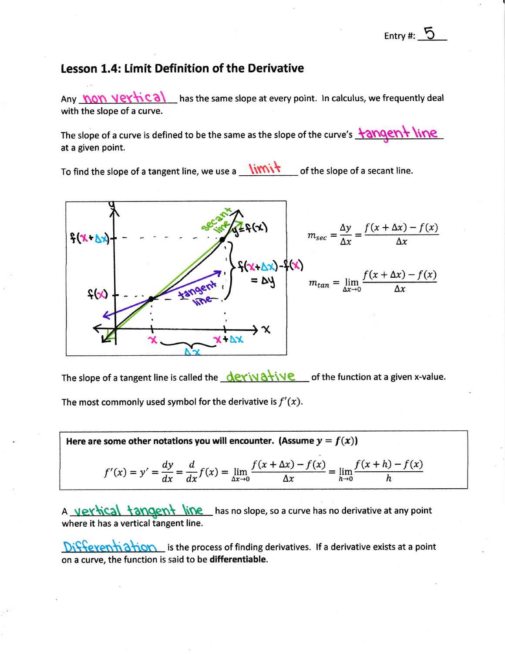## Lesson 1.4: Limit Definition of the Derivative

Any **hon vertical** has the same slope at every point. In calculus, we frequently deal with the slope of a curve.

The slope of a curve is defined to be the same as the slope of the curve's **tangent line** at a given point.

To find the slope of a tangent line, we use a  $\frac{1}{\sqrt{2}}$  of the slope of a secant line.



The slope of a tangent line is called the  $\frac{d^2y}{dx^2}$  of the function at a given x-value. The most commonly used symbol for the derivative is  $f'(x)$ .

Here are some other notations you will encounter. (Assume  $y = f(x)$ )

$$
f'(x) = y' = \frac{dy}{dx} = \frac{d}{dx}f(x) = \lim_{\Delta x \to 0} \frac{f(x + \Delta x) - f(x)}{\Delta x} = \lim_{h \to 0} \frac{f(x + h) - f(x)}{h}
$$

A vertical tangent line has no slope, so a curve has no derivative at any point where it has a vertical tangent line.

Differentiation is the process of finding derivatives. If a derivative exists at a point on a curve, the function is said to be differentiable.